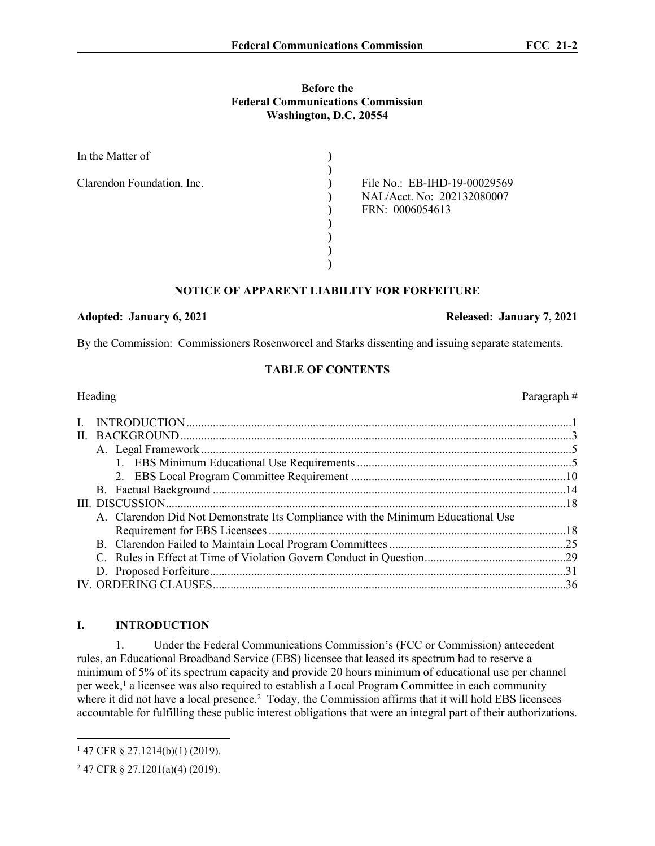# **Before the Federal Communications Commission Washington, D.C. 20554**

| In the Matter of           |                              |
|----------------------------|------------------------------|
|                            |                              |
| Clarendon Foundation, Inc. | File No.: EB-IHD-19-00029569 |
|                            | NAL/Acct. No: 202132080007   |
|                            | FRN: 0006054613              |
|                            |                              |
|                            |                              |
|                            |                              |
|                            |                              |

# **NOTICE OF APPARENT LIABILITY FOR FORFEITURE**

#### Adopted: January 6, 2021 **Released: January 7, 2021**

By the Commission: Commissioners Rosenworcel and Starks dissenting and issuing separate statements.

# **TABLE OF CONTENTS**

| Heading                                                                          | Paragraph $#$ |
|----------------------------------------------------------------------------------|---------------|
|                                                                                  |               |
|                                                                                  |               |
|                                                                                  |               |
|                                                                                  |               |
|                                                                                  |               |
|                                                                                  |               |
|                                                                                  |               |
| A. Clarendon Did Not Demonstrate Its Compliance with the Minimum Educational Use |               |
|                                                                                  |               |
|                                                                                  |               |
|                                                                                  |               |
|                                                                                  |               |
|                                                                                  | 36            |

# **I. INTRODUCTION**

1. Under the Federal Communications Commission's (FCC or Commission) antecedent rules, an Educational Broadband Service (EBS) licensee that leased its spectrum had to reserve a minimum of 5% of its spectrum capacity and provide 20 hours minimum of educational use per channel per week,<sup>1</sup> a licensee was also required to establish a Local Program Committee in each community where it did not have a local presence.<sup>2</sup> Today, the Commission affirms that it will hold EBS licensees accountable for fulfilling these public interest obligations that were an integral part of their authorizations.

<sup>1</sup> 47 CFR § 27.1214(b)(1) (2019).

<sup>2</sup> 47 CFR § 27.1201(a)(4) (2019).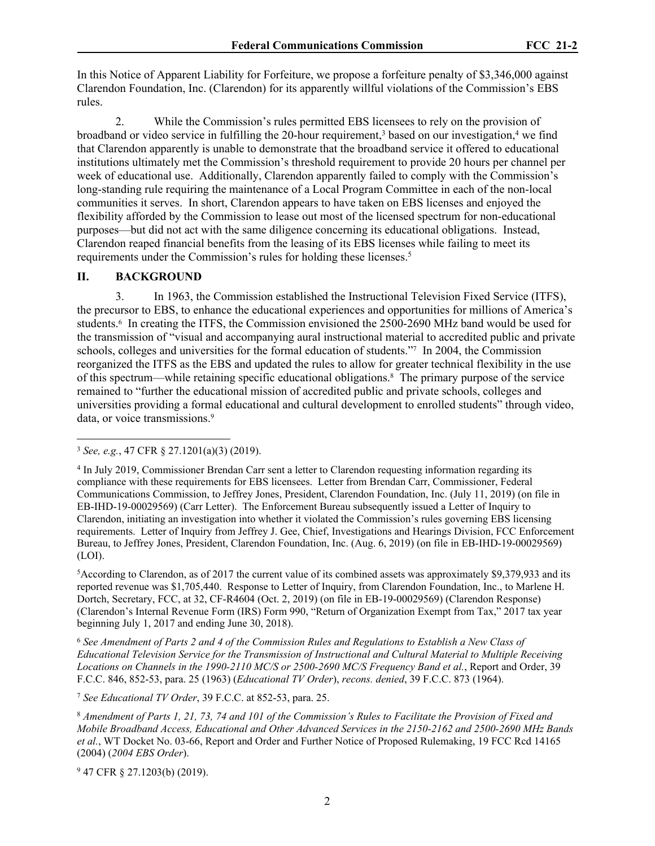In this Notice of Apparent Liability for Forfeiture, we propose a forfeiture penalty of \$3,346,000 against Clarendon Foundation, Inc. (Clarendon) for its apparently willful violations of the Commission's EBS rules.

2. While the Commission's rules permitted EBS licensees to rely on the provision of broadband or video service in fulfilling the 20-hour requirement,<sup>3</sup> based on our investigation,<sup>4</sup> we find that Clarendon apparently is unable to demonstrate that the broadband service it offered to educational institutions ultimately met the Commission's threshold requirement to provide 20 hours per channel per week of educational use. Additionally, Clarendon apparently failed to comply with the Commission's long-standing rule requiring the maintenance of a Local Program Committee in each of the non-local communities it serves. In short, Clarendon appears to have taken on EBS licenses and enjoyed the flexibility afforded by the Commission to lease out most of the licensed spectrum for non-educational purposes—but did not act with the same diligence concerning its educational obligations. Instead, Clarendon reaped financial benefits from the leasing of its EBS licenses while failing to meet its requirements under the Commission's rules for holding these licenses.<sup>5</sup>

#### **II. BACKGROUND**

<span id="page-1-0"></span>3. In 1963, the Commission established the Instructional Television Fixed Service (ITFS), the precursor to EBS, to enhance the educational experiences and opportunities for millions of America's students.<sup>6</sup> In creating the ITFS, the Commission envisioned the 2500-2690 MHz band would be used for the transmission of "visual and accompanying aural instructional material to accredited public and private schools, colleges and universities for the formal education of students."7 In 2004, the Commission reorganized the ITFS as the EBS and updated the rules to allow for greater technical flexibility in the use of this spectrum—while retaining specific educational obligations.<sup>8</sup> The primary purpose of the service remained to "further the educational mission of accredited public and private schools, colleges and universities providing a formal educational and cultural development to enrolled students" through video, data, or voice transmissions.<sup>9</sup>

<sup>5</sup>According to Clarendon, as of 2017 the current value of its combined assets was approximately \$9,379,933 and its reported revenue was \$1,705,440. Response to Letter of Inquiry, from Clarendon Foundation, Inc., to Marlene H. Dortch, Secretary, FCC, at 32, CF-R4604 (Oct. 2, 2019) (on file in EB-19-00029569) (Clarendon Response) (Clarendon's Internal Revenue Form (IRS) Form 990, "Return of Organization Exempt from Tax," 2017 tax year beginning July 1, 2017 and ending June 30, 2018).

<sup>6</sup> *See Amendment of Parts 2 and 4 of the Commission Rules and Regulations to Establish a New Class of Educational Television Service for the Transmission of Instructional and Cultural Material to Multiple Receiving Locations on Channels in the 1990-2110 MC/S or 2500-2690 MC/S Frequency Band et al.*, Report and Order, 39 F.C.C. 846, 852-53, para. 25 (1963) (*Educational TV Order*), *recons. denied*, 39 F.C.C. 873 (1964).

<sup>7</sup> *See Educational TV Order*, 39 F.C.C. at 852-53, para. 25.

<sup>8</sup> *Amendment of Parts 1, 21, 73, 74 and 101 of the Commission's Rules to Facilitate the Provision of Fixed and Mobile Broadband Access, Educational and Other Advanced Services in the 2150-2162 and 2500-2690 MHz Bands et al.*, WT Docket No. 03-66, Report and Order and Further Notice of Proposed Rulemaking, 19 FCC Rcd 14165 (2004) (*2004 EBS Order*).

9 47 CFR § 27.1203(b) (2019).

<sup>3</sup> *See, e.g.*, 47 CFR § 27.1201(a)(3) (2019).

<sup>4</sup> In July 2019, Commissioner Brendan Carr sent a letter to Clarendon requesting information regarding its compliance with these requirements for EBS licensees. Letter from Brendan Carr, Commissioner, Federal Communications Commission, to Jeffrey Jones, President, Clarendon Foundation, Inc. (July 11, 2019) (on file in EB-IHD-19-00029569) (Carr Letter). The Enforcement Bureau subsequently issued a Letter of Inquiry to Clarendon, initiating an investigation into whether it violated the Commission's rules governing EBS licensing requirements. Letter of Inquiry from Jeffrey J. Gee, Chief, Investigations and Hearings Division, FCC Enforcement Bureau, to Jeffrey Jones, President, Clarendon Foundation, Inc. (Aug. 6, 2019) (on file in EB-IHD-19-00029569) (LOI).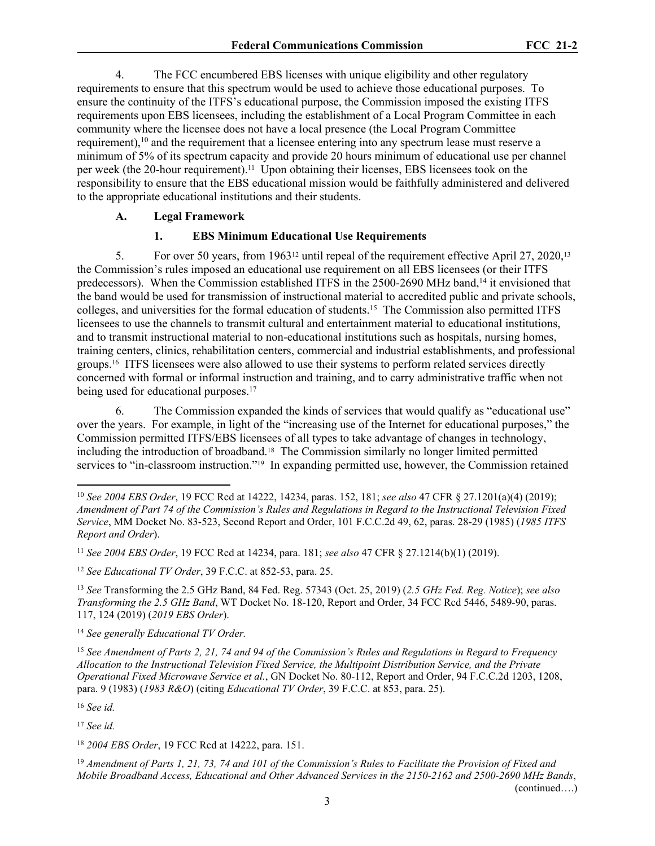4. The FCC encumbered EBS licenses with unique eligibility and other regulatory requirements to ensure that this spectrum would be used to achieve those educational purposes. To ensure the continuity of the ITFS's educational purpose, the Commission imposed the existing ITFS requirements upon EBS licensees, including the establishment of a Local Program Committee in each community where the licensee does not have a local presence (the Local Program Committee requirement),<sup>10</sup> and the requirement that a licensee entering into any spectrum lease must reserve a minimum of 5% of its spectrum capacity and provide 20 hours minimum of educational use per channel per week (the 20-hour requirement).11 Upon obtaining their licenses, EBS licensees took on the responsibility to ensure that the EBS educational mission would be faithfully administered and delivered to the appropriate educational institutions and their students.

## <span id="page-2-0"></span>**A. Legal Framework**

#### **1. EBS Minimum Educational Use Requirements**

5. For over 50 years, from 196312 until repeal of the requirement effective April 27, 2020,<sup>13</sup> the Commission's rules imposed an educational use requirement on all EBS licensees (or their ITFS predecessors). When the Commission established ITFS in the 2500-2690 MHz band,<sup>14</sup> it envisioned that the band would be used for transmission of instructional material to accredited public and private schools, colleges, and universities for the formal education of students.<sup>15</sup> The Commission also permitted ITFS licensees to use the channels to transmit cultural and entertainment material to educational institutions, and to transmit instructional material to non-educational institutions such as hospitals, nursing homes, training centers, clinics, rehabilitation centers, commercial and industrial establishments, and professional groups.16 ITFS licensees were also allowed to use their systems to perform related services directly concerned with formal or informal instruction and training, and to carry administrative traffic when not being used for educational purposes.<sup>17</sup>

6. The Commission expanded the kinds of services that would qualify as "educational use" over the years. For example, in light of the "increasing use of the Internet for educational purposes," the Commission permitted ITFS/EBS licensees of all types to take advantage of changes in technology, including the introduction of broadband.<sup>18</sup> The Commission similarly no longer limited permitted services to "in-classroom instruction."19 In expanding permitted use, however, the Commission retained

<sup>12</sup> *See Educational TV Order*, 39 F.C.C. at 852-53, para. 25.

<sup>13</sup> *See* Transforming the 2.5 GHz Band, 84 Fed. Reg. 57343 (Oct. 25, 2019) (*2.5 GHz Fed. Reg. Notice*); *see also Transforming the 2.5 GHz Band*, WT Docket No. 18-120, Report and Order, 34 FCC Rcd 5446, 5489-90, paras. 117, 124 (2019) (*2019 EBS Order*).

<sup>14</sup> *See generally Educational TV Order.*

<sup>15</sup> *See Amendment of Parts 2, 21, 74 and 94 of the Commission's Rules and Regulations in Regard to Frequency Allocation to the Instructional Television Fixed Service, the Multipoint Distribution Service, and the Private Operational Fixed Microwave Service et al.*, GN Docket No. 80-112, Report and Order, 94 F.C.C.2d 1203, 1208, para. 9 (1983) (*1983 R&O*) (citing *Educational TV Order*, 39 F.C.C. at 853, para. 25).

<sup>16</sup> *See id.*

<sup>17</sup> *See id.* 

<sup>18</sup> *2004 EBS Order*, 19 FCC Rcd at 14222, para. 151.

<sup>19</sup> *Amendment of Parts 1, 21, 73, 74 and 101 of the Commission's Rules to Facilitate the Provision of Fixed and Mobile Broadband Access, Educational and Other Advanced Services in the 2150-2162 and 2500-2690 MHz Bands*, (continued….)

<sup>10</sup> *See 2004 EBS Order*, 19 FCC Rcd at 14222, 14234, paras. 152, 181; *see also* 47 CFR § 27.1201(a)(4) (2019); *Amendment of Part 74 of the Commission's Rules and Regulations in Regard to the Instructional Television Fixed Service*, MM Docket No. 83-523, Second Report and Order, 101 F.C.C.2d 49, 62, paras. 28-29 (1985) (*1985 ITFS Report and Order*).

<sup>11</sup> *See 2004 EBS Order*, 19 FCC Rcd at 14234, para. 181; *see also* 47 CFR § 27.1214(b)(1) (2019).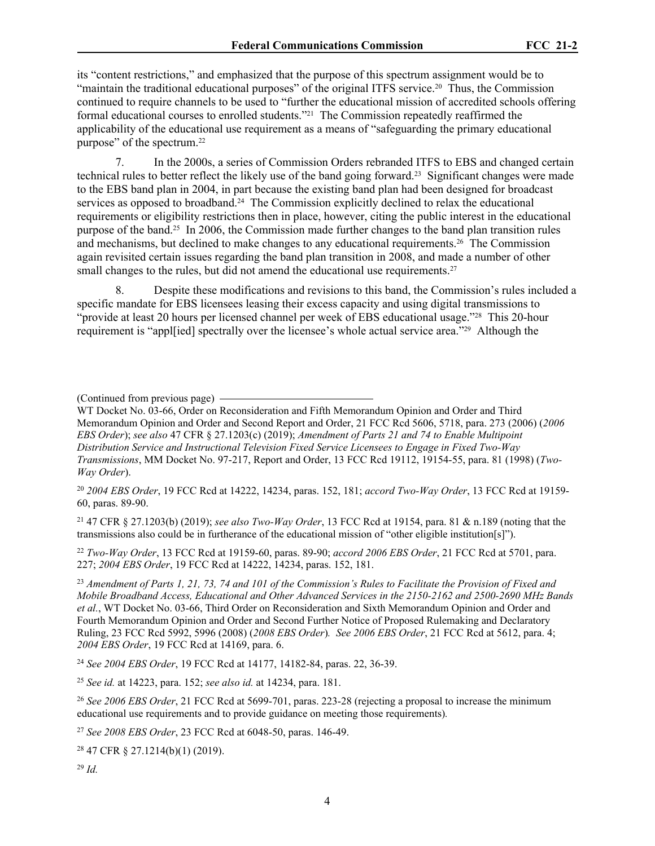its "content restrictions," and emphasized that the purpose of this spectrum assignment would be to "maintain the traditional educational purposes" of the original ITFS service.<sup>20</sup> Thus, the Commission continued to require channels to be used to "further the educational mission of accredited schools offering formal educational courses to enrolled students."21 The Commission repeatedly reaffirmed the applicability of the educational use requirement as a means of "safeguarding the primary educational purpose" of the spectrum.<sup>22</sup>

7. In the 2000s, a series of Commission Orders rebranded ITFS to EBS and changed certain technical rules to better reflect the likely use of the band going forward.23 Significant changes were made to the EBS band plan in 2004, in part because the existing band plan had been designed for broadcast services as opposed to broadband.<sup>24</sup> The Commission explicitly declined to relax the educational requirements or eligibility restrictions then in place, however, citing the public interest in the educational purpose of the band.25 In 2006, the Commission made further changes to the band plan transition rules and mechanisms, but declined to make changes to any educational requirements.26 The Commission again revisited certain issues regarding the band plan transition in 2008, and made a number of other small changes to the rules, but did not amend the educational use requirements.<sup>27</sup>

8. Despite these modifications and revisions to this band, the Commission's rules included a specific mandate for EBS licensees leasing their excess capacity and using digital transmissions to "provide at least 20 hours per licensed channel per week of EBS educational usage."<sup>28</sup> This 20-hour requirement is "appl[ied] spectrally over the licensee's whole actual service area."29 Although the

(Continued from previous page)

WT Docket No. 03-66, Order on Reconsideration and Fifth Memorandum Opinion and Order and Third Memorandum Opinion and Order and Second Report and Order, 21 FCC Rcd 5606, 5718, para. 273 (2006) (*2006 EBS Order*); *see also* 47 CFR § 27.1203(c) (2019); *Amendment of Parts 21 and 74 to Enable Multipoint Distribution Service and Instructional Television Fixed Service Licensees to Engage in Fixed Two-Way Transmissions*, MM Docket No. 97-217, Report and Order, 13 FCC Rcd 19112, 19154-55, para. 81 (1998) (*Two-Way Order*).

<sup>20</sup> *2004 EBS Order*, 19 FCC Rcd at 14222, 14234, paras. 152, 181; *accord Two-Way Order*, 13 FCC Rcd at 19159- 60, paras. 89-90.

<sup>21</sup> 47 CFR § 27.1203(b) (2019); *see also Two-Way Order*, 13 FCC Rcd at 19154, para. 81 & n.189 (noting that the transmissions also could be in furtherance of the educational mission of "other eligible institution[s]").

<sup>22</sup> *Two-Way Order*, 13 FCC Rcd at 19159-60, paras. 89-90; *accord 2006 EBS Order*, 21 FCC Rcd at 5701, para. 227; *2004 EBS Order*, 19 FCC Rcd at 14222, 14234, paras. 152, 181.

<sup>23</sup> *Amendment of Parts 1, 21, 73, 74 and 101 of the Commission's Rules to Facilitate the Provision of Fixed and Mobile Broadband Access, Educational and Other Advanced Services in the 2150-2162 and 2500-2690 MHz Bands et al.*, WT Docket No. 03-66, Third Order on Reconsideration and Sixth Memorandum Opinion and Order and Fourth Memorandum Opinion and Order and Second Further Notice of Proposed Rulemaking and Declaratory Ruling, 23 FCC Rcd 5992, 5996 (2008) (*2008 EBS Order*)*. See 2006 EBS Order*, 21 FCC Rcd at 5612, para. 4; *2004 EBS Order*, 19 FCC Rcd at 14169, para. 6.

<sup>24</sup> *See 2004 EBS Order*, 19 FCC Rcd at 14177, 14182-84, paras. 22, 36-39.

<sup>25</sup> *See id.* at 14223, para. 152; *see also id.* at 14234, para. 181.

<sup>26</sup> *See 2006 EBS Order*, 21 FCC Rcd at 5699-701, paras. 223-28 (rejecting a proposal to increase the minimum educational use requirements and to provide guidance on meeting those requirements)*.*

<sup>27</sup> *See 2008 EBS Order*, 23 FCC Rcd at 6048-50, paras. 146-49.

<sup>28</sup> 47 CFR § 27.1214(b)(1) (2019).

<sup>29</sup> *Id.*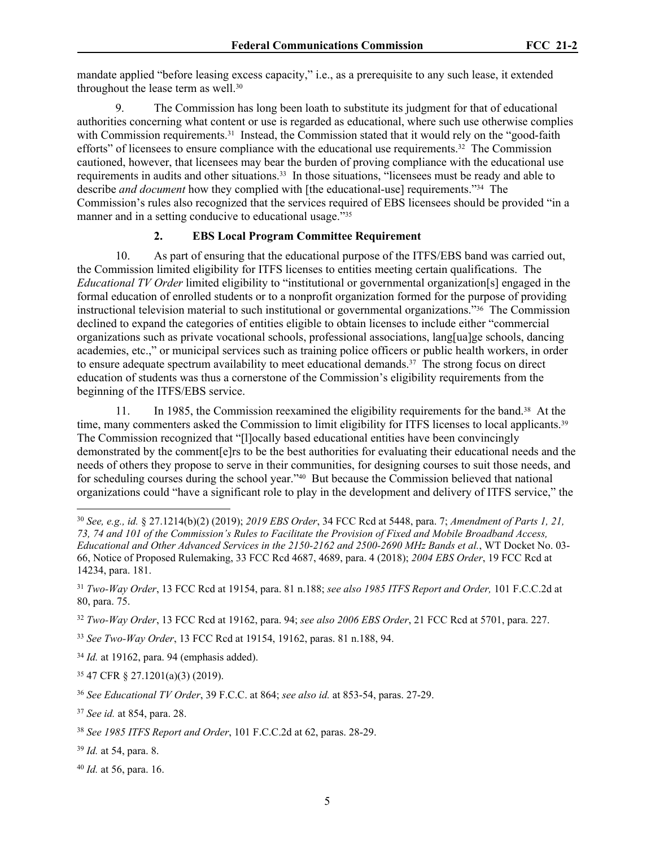mandate applied "before leasing excess capacity," i.e., as a prerequisite to any such lease, it extended throughout the lease term as well.<sup>30</sup>

9. The Commission has long been loath to substitute its judgment for that of educational authorities concerning what content or use is regarded as educational, where such use otherwise complies with Commission requirements.<sup>31</sup> Instead, the Commission stated that it would rely on the "good-faith efforts" of licensees to ensure compliance with the educational use requirements.<sup>32</sup> The Commission cautioned, however, that licensees may bear the burden of proving compliance with the educational use requirements in audits and other situations.<sup>33</sup> In those situations, "licensees must be ready and able to describe *and document* how they complied with [the educational-use] requirements."34 The Commission's rules also recognized that the services required of EBS licensees should be provided "in a manner and in a setting conducive to educational usage."<sup>35</sup>

# **2. EBS Local Program Committee Requirement**

<span id="page-4-0"></span>10. As part of ensuring that the educational purpose of the ITFS/EBS band was carried out, the Commission limited eligibility for ITFS licenses to entities meeting certain qualifications. The *Educational TV Order* limited eligibility to "institutional or governmental organization[s] engaged in the formal education of enrolled students or to a nonprofit organization formed for the purpose of providing instructional television material to such institutional or governmental organizations."36 The Commission declined to expand the categories of entities eligible to obtain licenses to include either "commercial organizations such as private vocational schools, professional associations, lang[ua]ge schools, dancing academies, etc.," or municipal services such as training police officers or public health workers, in order to ensure adequate spectrum availability to meet educational demands.<sup>37</sup> The strong focus on direct education of students was thus a cornerstone of the Commission's eligibility requirements from the beginning of the ITFS/EBS service.

11. In 1985, the Commission reexamined the eligibility requirements for the band.38 At the time, many commenters asked the Commission to limit eligibility for ITFS licenses to local applicants.<sup>39</sup> The Commission recognized that "[l]ocally based educational entities have been convincingly demonstrated by the comment[e]rs to be the best authorities for evaluating their educational needs and the needs of others they propose to serve in their communities, for designing courses to suit those needs, and for scheduling courses during the school year."40 But because the Commission believed that national organizations could "have a significant role to play in the development and delivery of ITFS service," the

<sup>33</sup> *See Two-Way Order*, 13 FCC Rcd at 19154, 19162, paras. 81 n.188, 94.

<sup>34</sup> *Id.* at 19162, para. 94 (emphasis added).

<sup>35</sup> 47 CFR § 27.1201(a)(3) (2019).

<sup>37</sup> *See id.* at 854, para. 28.

- <sup>39</sup> *Id.* at 54, para. 8.
- <sup>40</sup> *Id.* at 56, para. 16.

<sup>30</sup> *See, e.g., id.* § 27.1214(b)(2) (2019); *2019 EBS Order*, 34 FCC Rcd at 5448, para. 7; *Amendment of Parts 1, 21, 73, 74 and 101 of the Commission's Rules to Facilitate the Provision of Fixed and Mobile Broadband Access, Educational and Other Advanced Services in the 2150-2162 and 2500-2690 MHz Bands et al.*, WT Docket No. 03- 66, Notice of Proposed Rulemaking, 33 FCC Rcd 4687, 4689, para. 4 (2018); *2004 EBS Order*, 19 FCC Rcd at 14234, para. 181.

<sup>31</sup> *Two-Way Order*, 13 FCC Rcd at 19154, para. 81 n.188; *see also 1985 ITFS Report and Order,* 101 F.C.C.2d at 80, para. 75.

<sup>32</sup> *Two-Way Order*, 13 FCC Rcd at 19162, para. 94; *see also 2006 EBS Order*, 21 FCC Rcd at 5701, para. 227.

<sup>36</sup> *See Educational TV Order*, 39 F.C.C. at 864; *see also id.* at 853-54, paras. 27-29.

<sup>38</sup> *See 1985 ITFS Report and Order*, 101 F.C.C.2d at 62, paras. 28-29.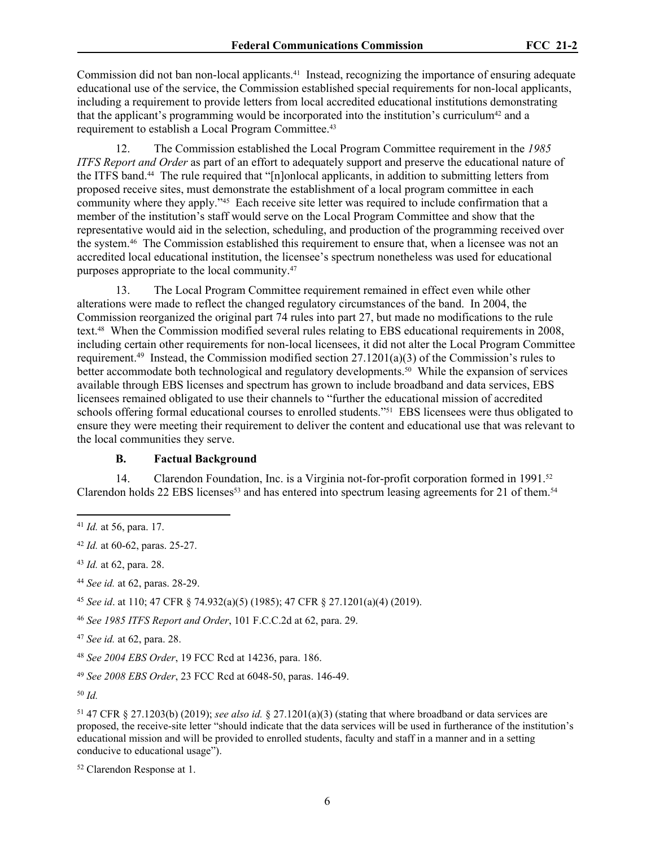Commission did not ban non-local applicants.41 Instead, recognizing the importance of ensuring adequate educational use of the service, the Commission established special requirements for non-local applicants, including a requirement to provide letters from local accredited educational institutions demonstrating that the applicant's programming would be incorporated into the institution's curriculum<sup>42</sup> and a requirement to establish a Local Program Committee.<sup>43</sup>

12. The Commission established the Local Program Committee requirement in the *1985 ITFS Report and Order* as part of an effort to adequately support and preserve the educational nature of the ITFS band.44 The rule required that "[n]onlocal applicants, in addition to submitting letters from proposed receive sites, must demonstrate the establishment of a local program committee in each community where they apply."45 Each receive site letter was required to include confirmation that a member of the institution's staff would serve on the Local Program Committee and show that the representative would aid in the selection, scheduling, and production of the programming received over the system.46 The Commission established this requirement to ensure that, when a licensee was not an accredited local educational institution, the licensee's spectrum nonetheless was used for educational purposes appropriate to the local community.<sup>47</sup>

13. The Local Program Committee requirement remained in effect even while other alterations were made to reflect the changed regulatory circumstances of the band. In 2004, the Commission reorganized the original part 74 rules into part 27, but made no modifications to the rule text.48 When the Commission modified several rules relating to EBS educational requirements in 2008, including certain other requirements for non-local licensees, it did not alter the Local Program Committee requirement.<sup>49</sup> Instead, the Commission modified section 27.1201(a)(3) of the Commission's rules to better accommodate both technological and regulatory developments.<sup>50</sup> While the expansion of services available through EBS licenses and spectrum has grown to include broadband and data services, EBS licensees remained obligated to use their channels to "further the educational mission of accredited schools offering formal educational courses to enrolled students."<sup>51</sup> EBS licensees were thus obligated to ensure they were meeting their requirement to deliver the content and educational use that was relevant to the local communities they serve.

# <span id="page-5-0"></span>**B. Factual Background**

14. Clarendon Foundation, Inc. is a Virginia not-for-profit corporation formed in 1991.<sup>52</sup> Clarendon holds 22 EBS licenses<sup>53</sup> and has entered into spectrum leasing agreements for 21 of them.<sup>54</sup>

<sup>45</sup> *See id*. at 110; 47 CFR § 74.932(a)(5) (1985); 47 CFR § 27.1201(a)(4) (2019).

<sup>47</sup> *See id.* at 62, para. 28.

<sup>49</sup> *See 2008 EBS Order*, 23 FCC Rcd at 6048-50, paras. 146-49.

<sup>50</sup> *Id.*

<sup>51</sup> 47 CFR § 27.1203(b) (2019); *see also id.* § 27.1201(a)(3) (stating that where broadband or data services are proposed, the receive-site letter "should indicate that the data services will be used in furtherance of the institution's educational mission and will be provided to enrolled students, faculty and staff in a manner and in a setting conducive to educational usage").

52 Clarendon Response at 1.

<sup>41</sup> *Id.* at 56, para. 17.

<sup>42</sup> *Id.* at 60-62, paras. 25-27.

<sup>43</sup> *Id.* at 62, para. 28.

<sup>44</sup> *See id.* at 62, paras. 28-29.

<sup>46</sup> *See 1985 ITFS Report and Order*, 101 F.C.C.2d at 62, para. 29.

<sup>48</sup> *See 2004 EBS Order*, 19 FCC Rcd at 14236, para. 186.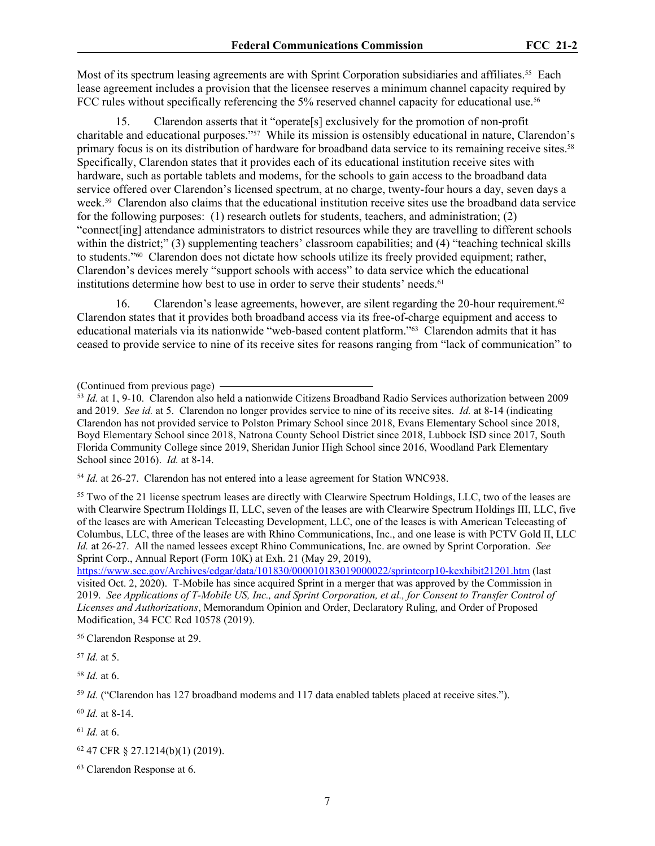Most of its spectrum leasing agreements are with Sprint Corporation subsidiaries and affiliates.<sup>55</sup> Each lease agreement includes a provision that the licensee reserves a minimum channel capacity required by FCC rules without specifically referencing the 5% reserved channel capacity for educational use.<sup>56</sup>

15. Clarendon asserts that it "operate[s] exclusively for the promotion of non-profit charitable and educational purposes."57 While its mission is ostensibly educational in nature, Clarendon's primary focus is on its distribution of hardware for broadband data service to its remaining receive sites.<sup>58</sup> Specifically, Clarendon states that it provides each of its educational institution receive sites with hardware, such as portable tablets and modems, for the schools to gain access to the broadband data service offered over Clarendon's licensed spectrum, at no charge, twenty-four hours a day, seven days a week.59 Clarendon also claims that the educational institution receive sites use the broadband data service for the following purposes: (1) research outlets for students, teachers, and administration; (2) "connect[ing] attendance administrators to district resources while they are travelling to different schools within the district;" (3) supplementing teachers' classroom capabilities; and (4) "teaching technical skills to students."60 Clarendon does not dictate how schools utilize its freely provided equipment; rather, Clarendon's devices merely "support schools with access" to data service which the educational institutions determine how best to use in order to serve their students' needs.<sup>61</sup>

16. Clarendon's lease agreements, however, are silent regarding the 20-hour requirement.<sup>62</sup> Clarendon states that it provides both broadband access via its free-of-charge equipment and access to educational materials via its nationwide "web-based content platform."63 Clarendon admits that it has ceased to provide service to nine of its receive sites for reasons ranging from "lack of communication" to

<sup>54</sup> *Id.* at 26-27. Clarendon has not entered into a lease agreement for Station WNC938.

<sup>55</sup> Two of the 21 license spectrum leases are directly with Clearwire Spectrum Holdings, LLC, two of the leases are with Clearwire Spectrum Holdings II, LLC, seven of the leases are with Clearwire Spectrum Holdings III, LLC, five of the leases are with American Telecasting Development, LLC, one of the leases is with American Telecasting of Columbus, LLC, three of the leases are with Rhino Communications, Inc., and one lease is with PCTV Gold II, LLC *Id.* at 26-27. All the named lessees except Rhino Communications, Inc. are owned by Sprint Corporation. *See*  Sprint Corp., Annual Report (Form 10K) at Exh. 21 (May 29, 2019),

<https://www.sec.gov/Archives/edgar/data/101830/000010183019000022/sprintcorp10-kexhibit21201.htm>(last visited Oct. 2, 2020). T-Mobile has since acquired Sprint in a merger that was approved by the Commission in 2019. *See Applications of T-Mobile US, Inc., and Sprint Corporation, et al., for Consent to Transfer Control of Licenses and Authorizations*, Memorandum Opinion and Order, Declaratory Ruling, and Order of Proposed Modification, 34 FCC Rcd 10578 (2019).

<sup>56</sup> Clarendon Response at 29.

<sup>57</sup> *Id.* at 5.

<sup>58</sup> *Id.* at 6.

<sup>59</sup> *Id.* ("Clarendon has 127 broadband modems and 117 data enabled tablets placed at receive sites.").

<sup>60</sup> *Id.* at 8-14.

<sup>61</sup> *Id.* at 6.

<sup>(</sup>Continued from previous page)

<sup>53</sup> *Id.* at 1, 9-10. Clarendon also held a nationwide Citizens Broadband Radio Services authorization between 2009 and 2019. *See id.* at 5. Clarendon no longer provides service to nine of its receive sites. *Id.* at 8-14 (indicating Clarendon has not provided service to Polston Primary School since 2018, Evans Elementary School since 2018, Boyd Elementary School since 2018, Natrona County School District since 2018, Lubbock ISD since 2017, South Florida Community College since 2019, Sheridan Junior High School since 2016, Woodland Park Elementary School since 2016). *Id.* at 8-14.

<sup>62</sup> 47 CFR § 27.1214(b)(1) (2019).

<sup>63</sup> Clarendon Response at 6.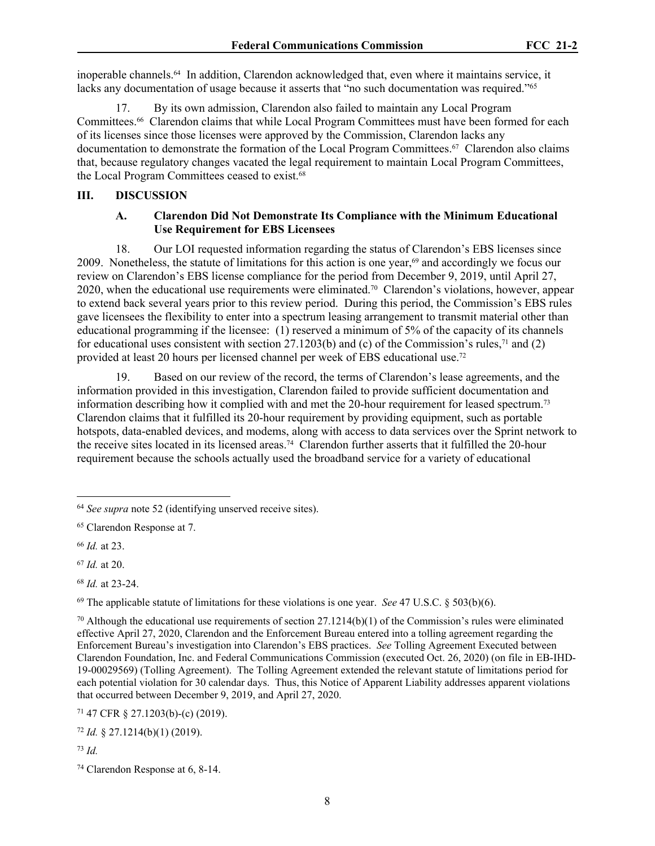inoperable channels.64 In addition, Clarendon acknowledged that, even where it maintains service, it lacks any documentation of usage because it asserts that "no such documentation was required."<sup>65</sup>

17. By its own admission, Clarendon also failed to maintain any Local Program Committees.66 Clarendon claims that while Local Program Committees must have been formed for each of its licenses since those licenses were approved by the Commission, Clarendon lacks any documentation to demonstrate the formation of the Local Program Committees.<sup>67</sup> Clarendon also claims that, because regulatory changes vacated the legal requirement to maintain Local Program Committees, the Local Program Committees ceased to exist.<sup>68</sup>

#### **III. DISCUSSION**

### <span id="page-7-0"></span>**A. Clarendon Did Not Demonstrate Its Compliance with the Minimum Educational Use Requirement for EBS Licensees**

18. Our LOI requested information regarding the status of Clarendon's EBS licenses since 2009. Nonetheless, the statute of limitations for this action is one year,<sup>69</sup> and accordingly we focus our review on Clarendon's EBS license compliance for the period from December 9, 2019, until April 27, 2020, when the educational use requirements were eliminated.<sup>70</sup> Clarendon's violations, however, appear to extend back several years prior to this review period. During this period, the Commission's EBS rules gave licensees the flexibility to enter into a spectrum leasing arrangement to transmit material other than educational programming if the licensee: (1) reserved a minimum of 5% of the capacity of its channels for educational uses consistent with section 27.1203(b) and (c) of the Commission's rules,<sup>71</sup> and (2) provided at least 20 hours per licensed channel per week of EBS educational use.<sup>72</sup>

19. Based on our review of the record, the terms of Clarendon's lease agreements, and the information provided in this investigation, Clarendon failed to provide sufficient documentation and information describing how it complied with and met the 20-hour requirement for leased spectrum.<sup>73</sup> Clarendon claims that it fulfilled its 20-hour requirement by providing equipment, such as portable hotspots, data-enabled devices, and modems, along with access to data services over the Sprint network to the receive sites located in its licensed areas.74 Clarendon further asserts that it fulfilled the 20-hour requirement because the schools actually used the broadband service for a variety of educational

<sup>72</sup> *Id.* § 27.1214(b)(1) (2019).

<sup>73</sup> *Id.*

<sup>64</sup> *See supra* note 52 (identifying unserved receive sites).

<sup>65</sup> Clarendon Response at 7.

<sup>66</sup> *Id.* at 23.

<sup>67</sup> *Id.* at 20.

<sup>68</sup> *Id.* at 23-24.

<sup>69</sup> The applicable statute of limitations for these violations is one year. *See* 47 U.S.C. § 503(b)(6).

<sup>&</sup>lt;sup>70</sup> Although the educational use requirements of section 27.1214(b)(1) of the Commission's rules were eliminated effective April 27, 2020, Clarendon and the Enforcement Bureau entered into a tolling agreement regarding the Enforcement Bureau's investigation into Clarendon's EBS practices. *See* Tolling Agreement Executed between Clarendon Foundation, Inc. and Federal Communications Commission (executed Oct. 26, 2020) (on file in EB-IHD-19-00029569) (Tolling Agreement). The Tolling Agreement extended the relevant statute of limitations period for each potential violation for 30 calendar days. Thus, this Notice of Apparent Liability addresses apparent violations that occurred between December 9, 2019, and April 27, 2020.

<sup>71</sup> 47 CFR § 27.1203(b)-(c) (2019).

<sup>74</sup> Clarendon Response at 6, 8-14.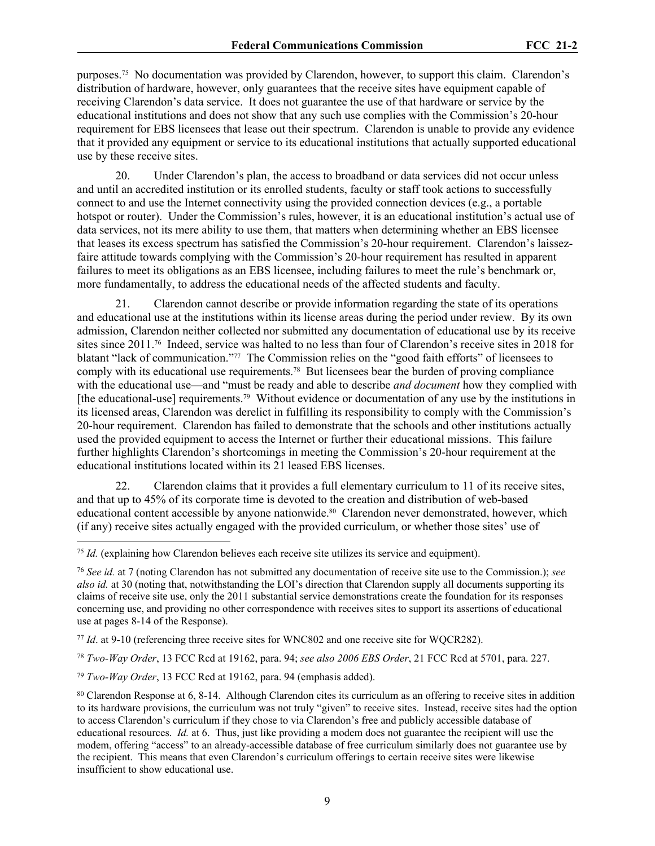purposes.75 No documentation was provided by Clarendon, however, to support this claim. Clarendon's distribution of hardware, however, only guarantees that the receive sites have equipment capable of receiving Clarendon's data service. It does not guarantee the use of that hardware or service by the educational institutions and does not show that any such use complies with the Commission's 20-hour requirement for EBS licensees that lease out their spectrum. Clarendon is unable to provide any evidence that it provided any equipment or service to its educational institutions that actually supported educational use by these receive sites.

20. Under Clarendon's plan, the access to broadband or data services did not occur unless and until an accredited institution or its enrolled students, faculty or staff took actions to successfully connect to and use the Internet connectivity using the provided connection devices (e.g., a portable hotspot or router). Under the Commission's rules, however, it is an educational institution's actual use of data services, not its mere ability to use them, that matters when determining whether an EBS licensee that leases its excess spectrum has satisfied the Commission's 20-hour requirement. Clarendon's laissezfaire attitude towards complying with the Commission's 20-hour requirement has resulted in apparent failures to meet its obligations as an EBS licensee, including failures to meet the rule's benchmark or, more fundamentally, to address the educational needs of the affected students and faculty.

21. Clarendon cannot describe or provide information regarding the state of its operations and educational use at the institutions within its license areas during the period under review. By its own admission, Clarendon neither collected nor submitted any documentation of educational use by its receive sites since 2011.<sup>76</sup> Indeed, service was halted to no less than four of Clarendon's receive sites in 2018 for blatant "lack of communication."77 The Commission relies on the "good faith efforts" of licensees to comply with its educational use requirements.78 But licensees bear the burden of proving compliance with the educational use—and "must be ready and able to describe *and document* how they complied with [the educational-use] requirements.<sup>79</sup> Without evidence or documentation of any use by the institutions in its licensed areas, Clarendon was derelict in fulfilling its responsibility to comply with the Commission's 20-hour requirement. Clarendon has failed to demonstrate that the schools and other institutions actually used the provided equipment to access the Internet or further their educational missions. This failure further highlights Clarendon's shortcomings in meeting the Commission's 20-hour requirement at the educational institutions located within its 21 leased EBS licenses.

22. Clarendon claims that it provides a full elementary curriculum to 11 of its receive sites, and that up to 45% of its corporate time is devoted to the creation and distribution of web-based educational content accessible by anyone nationwide.<sup>80</sup> Clarendon never demonstrated, however, which (if any) receive sites actually engaged with the provided curriculum, or whether those sites' use of

<sup>78</sup> *Two-Way Order*, 13 FCC Rcd at 19162, para. 94; *see also 2006 EBS Order*, 21 FCC Rcd at 5701, para. 227.

<sup>79</sup> *Two-Way Order*, 13 FCC Rcd at 19162, para. 94 (emphasis added).

<sup>75</sup> *Id.* (explaining how Clarendon believes each receive site utilizes its service and equipment).

<sup>76</sup> *See id.* at 7 (noting Clarendon has not submitted any documentation of receive site use to the Commission.); *see also id.* at 30 (noting that, notwithstanding the LOI's direction that Clarendon supply all documents supporting its claims of receive site use, only the 2011 substantial service demonstrations create the foundation for its responses concerning use, and providing no other correspondence with receives sites to support its assertions of educational use at pages 8-14 of the Response).

<sup>77</sup> *Id*. at 9-10 (referencing three receive sites for WNC802 and one receive site for WQCR282).

<sup>80</sup> Clarendon Response at 6, 8-14. Although Clarendon cites its curriculum as an offering to receive sites in addition to its hardware provisions, the curriculum was not truly "given" to receive sites. Instead, receive sites had the option to access Clarendon's curriculum if they chose to via Clarendon's free and publicly accessible database of educational resources. *Id.* at 6. Thus, just like providing a modem does not guarantee the recipient will use the modem, offering "access" to an already-accessible database of free curriculum similarly does not guarantee use by the recipient. This means that even Clarendon's curriculum offerings to certain receive sites were likewise insufficient to show educational use.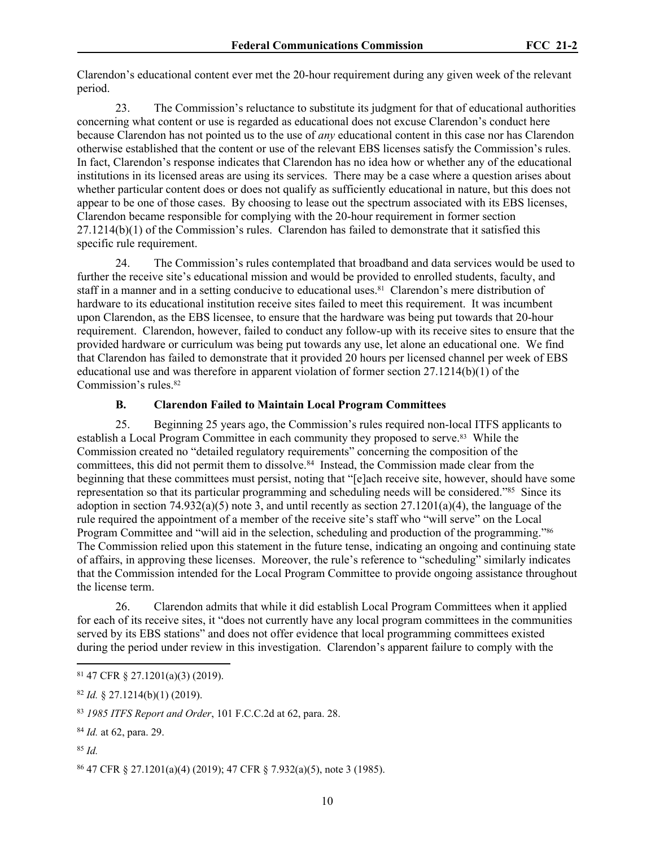Clarendon's educational content ever met the 20-hour requirement during any given week of the relevant period.

23. The Commission's reluctance to substitute its judgment for that of educational authorities concerning what content or use is regarded as educational does not excuse Clarendon's conduct here because Clarendon has not pointed us to the use of *any* educational content in this case nor has Clarendon otherwise established that the content or use of the relevant EBS licenses satisfy the Commission's rules. In fact, Clarendon's response indicates that Clarendon has no idea how or whether any of the educational institutions in its licensed areas are using its services. There may be a case where a question arises about whether particular content does or does not qualify as sufficiently educational in nature, but this does not appear to be one of those cases. By choosing to lease out the spectrum associated with its EBS licenses, Clarendon became responsible for complying with the 20-hour requirement in former section 27.1214(b)(1) of the Commission's rules. Clarendon has failed to demonstrate that it satisfied this specific rule requirement.

24. The Commission's rules contemplated that broadband and data services would be used to further the receive site's educational mission and would be provided to enrolled students, faculty, and staff in a manner and in a setting conducive to educational uses.81 Clarendon's mere distribution of hardware to its educational institution receive sites failed to meet this requirement. It was incumbent upon Clarendon, as the EBS licensee, to ensure that the hardware was being put towards that 20-hour requirement. Clarendon, however, failed to conduct any follow-up with its receive sites to ensure that the provided hardware or curriculum was being put towards any use, let alone an educational one. We find that Clarendon has failed to demonstrate that it provided 20 hours per licensed channel per week of EBS educational use and was therefore in apparent violation of former section 27.1214(b)(1) of the Commission's rules.<sup>82</sup>

## <span id="page-9-0"></span>**B. Clarendon Failed to Maintain Local Program Committees**

25. Beginning 25 years ago, the Commission's rules required non-local ITFS applicants to establish a Local Program Committee in each community they proposed to serve.83 While the Commission created no "detailed regulatory requirements" concerning the composition of the committees, this did not permit them to dissolve.<sup>84</sup> Instead, the Commission made clear from the beginning that these committees must persist, noting that "[e]ach receive site, however, should have some representation so that its particular programming and scheduling needs will be considered."<sup>85</sup> Since its adoption in section 74.932(a)(5) note 3, and until recently as section 27.1201(a)(4), the language of the rule required the appointment of a member of the receive site's staff who "will serve" on the Local Program Committee and "will aid in the selection, scheduling and production of the programming."<sup>86</sup> The Commission relied upon this statement in the future tense, indicating an ongoing and continuing state of affairs, in approving these licenses. Moreover, the rule's reference to "scheduling" similarly indicates that the Commission intended for the Local Program Committee to provide ongoing assistance throughout the license term.

26. Clarendon admits that while it did establish Local Program Committees when it applied for each of its receive sites, it "does not currently have any local program committees in the communities served by its EBS stations" and does not offer evidence that local programming committees existed during the period under review in this investigation. Clarendon's apparent failure to comply with the

<sup>81</sup> 47 CFR § 27.1201(a)(3) (2019).

<sup>82</sup> *Id.* § 27.1214(b)(1) (2019).

<sup>83</sup> *1985 ITFS Report and Order*, 101 F.C.C.2d at 62, para. 28.

<sup>84</sup> *Id.* at 62, para. 29.

<sup>85</sup> *Id.*

<sup>86</sup> 47 CFR § 27.1201(a)(4) (2019); 47 CFR § 7.932(a)(5), note 3 (1985).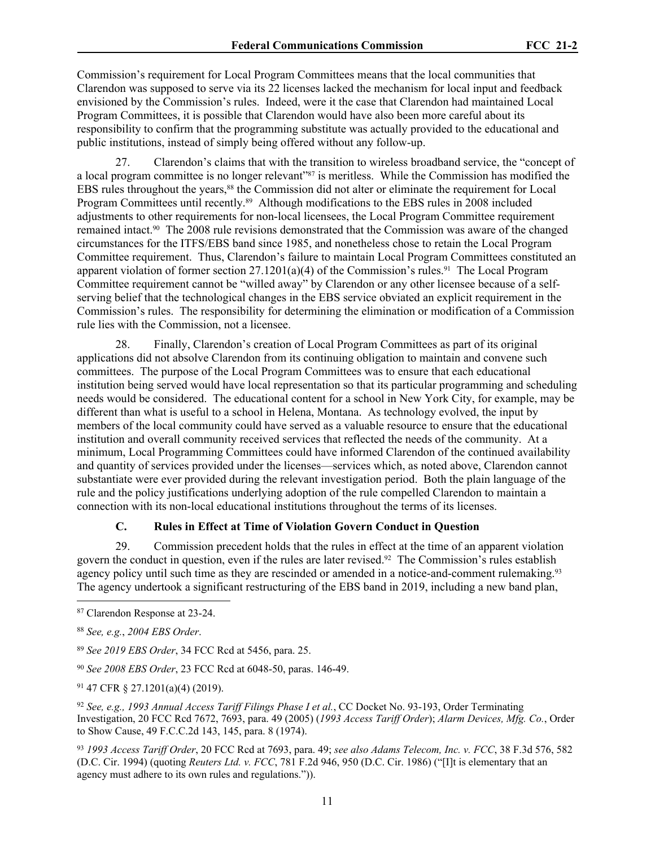Commission's requirement for Local Program Committees means that the local communities that Clarendon was supposed to serve via its 22 licenses lacked the mechanism for local input and feedback envisioned by the Commission's rules. Indeed, were it the case that Clarendon had maintained Local Program Committees, it is possible that Clarendon would have also been more careful about its responsibility to confirm that the programming substitute was actually provided to the educational and public institutions, instead of simply being offered without any follow-up.

27. Clarendon's claims that with the transition to wireless broadband service, the "concept of a local program committee is no longer relevant"<sup>87</sup> is meritless. While the Commission has modified the EBS rules throughout the years,88 the Commission did not alter or eliminate the requirement for Local Program Committees until recently.<sup>89</sup> Although modifications to the EBS rules in 2008 included adjustments to other requirements for non-local licensees, the Local Program Committee requirement remained intact.90 The 2008 rule revisions demonstrated that the Commission was aware of the changed circumstances for the ITFS/EBS band since 1985, and nonetheless chose to retain the Local Program Committee requirement. Thus, Clarendon's failure to maintain Local Program Committees constituted an apparent violation of former section  $27.1201(a)(4)$  of the Commission's rules.<sup>91</sup> The Local Program Committee requirement cannot be "willed away" by Clarendon or any other licensee because of a selfserving belief that the technological changes in the EBS service obviated an explicit requirement in the Commission's rules. The responsibility for determining the elimination or modification of a Commission rule lies with the Commission, not a licensee.

28. Finally, Clarendon's creation of Local Program Committees as part of its original applications did not absolve Clarendon from its continuing obligation to maintain and convene such committees. The purpose of the Local Program Committees was to ensure that each educational institution being served would have local representation so that its particular programming and scheduling needs would be considered. The educational content for a school in New York City, for example, may be different than what is useful to a school in Helena, Montana. As technology evolved, the input by members of the local community could have served as a valuable resource to ensure that the educational institution and overall community received services that reflected the needs of the community. At a minimum, Local Programming Committees could have informed Clarendon of the continued availability and quantity of services provided under the licenses—services which, as noted above, Clarendon cannot substantiate were ever provided during the relevant investigation period. Both the plain language of the rule and the policy justifications underlying adoption of the rule compelled Clarendon to maintain a connection with its non-local educational institutions throughout the terms of its licenses.

## <span id="page-10-0"></span>**C. Rules in Effect at Time of Violation Govern Conduct in Question**

29. Commission precedent holds that the rules in effect at the time of an apparent violation govern the conduct in question, even if the rules are later revised.92 The Commission's rules establish agency policy until such time as they are rescinded or amended in a notice-and-comment rulemaking.<sup>93</sup> The agency undertook a significant restructuring of the EBS band in 2019, including a new band plan,

<sup>93</sup> *1993 Access Tariff Order*, 20 FCC Rcd at 7693, para. 49; *see also Adams Telecom, Inc. v. FCC*, 38 F.3d 576, 582 (D.C. Cir. 1994) (quoting *Reuters Ltd. v. FCC*, 781 F.2d 946, 950 (D.C. Cir. 1986) ("[I]t is elementary that an agency must adhere to its own rules and regulations.")).

<sup>87</sup> Clarendon Response at 23-24.

<sup>88</sup> *See, e.g.*, *2004 EBS Order*.

<sup>89</sup> *See 2019 EBS Order*, 34 FCC Rcd at 5456, para. 25.

<sup>90</sup> *See 2008 EBS Order*, 23 FCC Rcd at 6048-50, paras. 146-49.

<sup>91</sup> 47 CFR § 27.1201(a)(4) (2019).

<sup>92</sup> *See, e.g., 1993 Annual Access Tariff Filings Phase I et al.*, CC Docket No. 93-193, Order Terminating Investigation, 20 FCC Rcd 7672, 7693, para. 49 (2005) (*1993 Access Tariff Order*); *Alarm Devices, Mfg. Co.*, Order to Show Cause, 49 F.C.C.2d 143, 145, para. 8 (1974).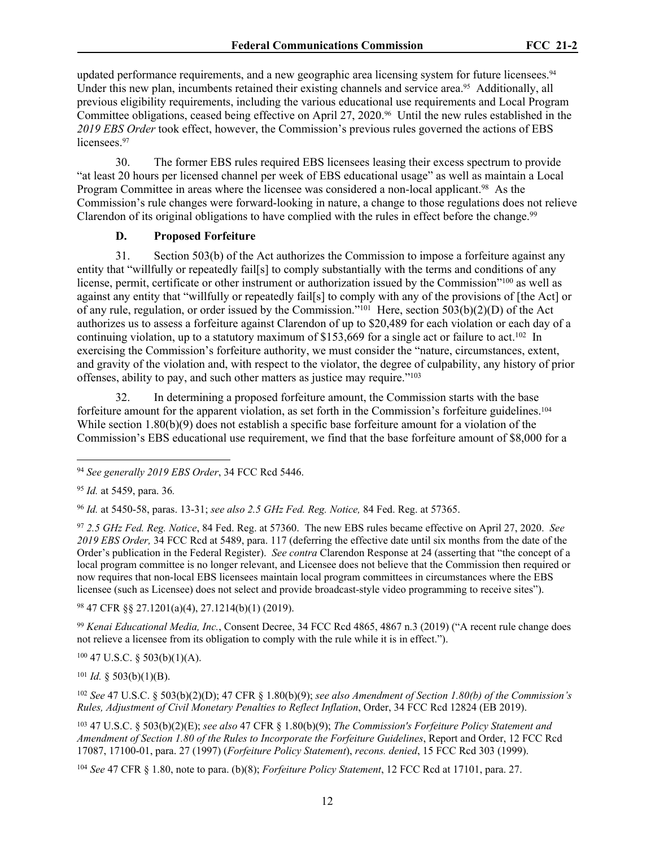updated performance requirements, and a new geographic area licensing system for future licensees.<sup>94</sup> Under this new plan, incumbents retained their existing channels and service area.<sup>95</sup> Additionally, all previous eligibility requirements, including the various educational use requirements and Local Program Committee obligations, ceased being effective on April 27, 2020.<sup>96</sup> Until the new rules established in the *2019 EBS Order* took effect, however, the Commission's previous rules governed the actions of EBS licensees.<sup>97</sup>

30. The former EBS rules required EBS licensees leasing their excess spectrum to provide "at least 20 hours per licensed channel per week of EBS educational usage" as well as maintain a Local Program Committee in areas where the licensee was considered a non-local applicant.<sup>98</sup> As the Commission's rule changes were forward-looking in nature, a change to those regulations does not relieve Clarendon of its original obligations to have complied with the rules in effect before the change.<sup>99</sup>

#### <span id="page-11-0"></span>**D. Proposed Forfeiture**

31. Section 503(b) of the Act authorizes the Commission to impose a forfeiture against any entity that "willfully or repeatedly fail[s] to comply substantially with the terms and conditions of any license, permit, certificate or other instrument or authorization issued by the Commission"<sup>100</sup> as well as against any entity that "willfully or repeatedly fail[s] to comply with any of the provisions of [the Act] or of any rule, regulation, or order issued by the Commission."<sup>101</sup> Here, section 503(b)(2)(D) of the Act authorizes us to assess a forfeiture against Clarendon of up to \$20,489 for each violation or each day of a continuing violation, up to a statutory maximum of \$153,669 for a single act or failure to act.<sup>102</sup> In exercising the Commission's forfeiture authority, we must consider the "nature, circumstances, extent, and gravity of the violation and, with respect to the violator, the degree of culpability, any history of prior offenses, ability to pay, and such other matters as justice may require."<sup>103</sup>

32. In determining a proposed forfeiture amount, the Commission starts with the base forfeiture amount for the apparent violation, as set forth in the Commission's forfeiture guidelines.<sup>104</sup> While section 1.80(b)(9) does not establish a specific base for feiture amount for a violation of the Commission's EBS educational use requirement, we find that the base forfeiture amount of \$8,000 for a

<sup>96</sup> *Id.* at 5450-58, paras. 13-31; *see also 2.5 GHz Fed. Reg. Notice,* 84 Fed. Reg. at 57365.

<sup>97</sup> *2.5 GHz Fed. Reg. Notice*, 84 Fed. Reg. at 57360. The new EBS rules became effective on April 27, 2020. *See 2019 EBS Order,* 34 FCC Rcd at 5489, para. 117 (deferring the effective date until six months from the date of the Order's publication in the Federal Register). *See contra* Clarendon Response at 24 (asserting that "the concept of a local program committee is no longer relevant, and Licensee does not believe that the Commission then required or now requires that non-local EBS licensees maintain local program committees in circumstances where the EBS licensee (such as Licensee) does not select and provide broadcast-style video programming to receive sites").

<sup>98</sup> 47 CFR §§ 27.1201(a)(4), 27.1214(b)(1) (2019).

<sup>99</sup> *Kenai Educational Media, Inc.*, Consent Decree, 34 FCC Rcd 4865, 4867 n.3 (2019) ("A recent rule change does not relieve a licensee from its obligation to comply with the rule while it is in effect.").

<sup>100</sup> 47 U.S.C. § 503(b)(1)(A).

 $101$  *Id.* § 503(b)(1)(B).

<sup>102</sup> *See* 47 U.S.C. § 503(b)(2)(D); 47 CFR § 1.80(b)(9); *see also Amendment of Section 1.80(b) of the Commission's Rules, Adjustment of Civil Monetary Penalties to Reflect Inflation*, Order, 34 FCC Rcd 12824 (EB 2019).

<sup>103</sup> 47 U.S.C. § 503(b)(2)(E); *see also* 47 CFR § 1.80(b)(9); *The Commission's Forfeiture Policy Statement and Amendment of Section 1.80 of the Rules to Incorporate the Forfeiture Guidelines*, Report and Order, 12 FCC Rcd 17087, 17100-01, para. 27 (1997) (*Forfeiture Policy Statement*), *recons. denied*, 15 FCC Rcd 303 (1999).

<sup>104</sup> *See* 47 CFR § 1.80, note to para. (b)(8); *Forfeiture Policy Statement*, 12 FCC Rcd at 17101, para. 27.

<sup>94</sup> *See generally 2019 EBS Order*, 34 FCC Rcd 5446.

<sup>95</sup> *Id.* at 5459, para. 36*.*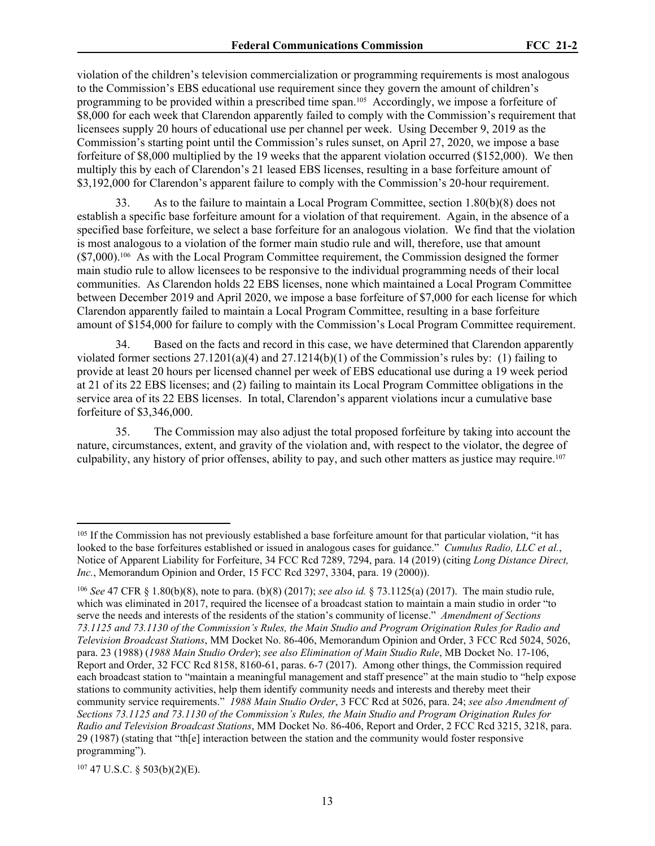violation of the children's television commercialization or programming requirements is most analogous to the Commission's EBS educational use requirement since they govern the amount of children's programming to be provided within a prescribed time span.105 Accordingly, we impose a forfeiture of \$8,000 for each week that Clarendon apparently failed to comply with the Commission's requirement that licensees supply 20 hours of educational use per channel per week. Using December 9, 2019 as the Commission's starting point until the Commission's rules sunset, on April 27, 2020, we impose a base forfeiture of \$8,000 multiplied by the 19 weeks that the apparent violation occurred (\$152,000). We then multiply this by each of Clarendon's 21 leased EBS licenses, resulting in a base forfeiture amount of \$3,192,000 for Clarendon's apparent failure to comply with the Commission's 20-hour requirement.

33. As to the failure to maintain a Local Program Committee, section 1.80(b)(8) does not establish a specific base forfeiture amount for a violation of that requirement. Again, in the absence of a specified base forfeiture, we select a base forfeiture for an analogous violation. We find that the violation is most analogous to a violation of the former main studio rule and will, therefore, use that amount (\$7,000).106 As with the Local Program Committee requirement, the Commission designed the former main studio rule to allow licensees to be responsive to the individual programming needs of their local communities. As Clarendon holds 22 EBS licenses, none which maintained a Local Program Committee between December 2019 and April 2020, we impose a base forfeiture of \$7,000 for each license for which Clarendon apparently failed to maintain a Local Program Committee, resulting in a base forfeiture amount of \$154,000 for failure to comply with the Commission's Local Program Committee requirement.

34. Based on the facts and record in this case, we have determined that Clarendon apparently violated former sections  $27.1201(a)(4)$  and  $27.1214(b)(1)$  of the Commission's rules by: (1) failing to provide at least 20 hours per licensed channel per week of EBS educational use during a 19 week period at 21 of its 22 EBS licenses; and (2) failing to maintain its Local Program Committee obligations in the service area of its 22 EBS licenses. In total, Clarendon's apparent violations incur a cumulative base forfeiture of \$3,346,000.

35. The Commission may also adjust the total proposed forfeiture by taking into account the nature, circumstances, extent, and gravity of the violation and, with respect to the violator, the degree of culpability, any history of prior offenses, ability to pay, and such other matters as justice may require.<sup>107</sup>

107 47 U.S.C. § 503(b)(2)(E).

<sup>&</sup>lt;sup>105</sup> If the Commission has not previously established a base forfeiture amount for that particular violation, "it has looked to the base forfeitures established or issued in analogous cases for guidance." *Cumulus Radio, LLC et al.*, Notice of Apparent Liability for Forfeiture, 34 FCC Rcd 7289, 7294, para. 14 (2019) (citing *Long Distance Direct, Inc.*, Memorandum Opinion and Order, 15 FCC Rcd 3297, 3304, para. 19 (2000)).

<sup>106</sup> *See* 47 CFR § 1.80(b)(8), note to para. (b)(8) (2017); *see also id.* § 73.1125(a) (2017). The main studio rule, which was eliminated in 2017, required the licensee of a broadcast station to maintain a main studio in order "to serve the needs and interests of the residents of the station's community of license." *Amendment of Sections 73.1125 and 73.1130 of the Commission's Rules, the Main Studio and Program Origination Rules for Radio and Television Broadcast Stations*, MM Docket No. 86-406, Memorandum Opinion and Order, 3 FCC Rcd 5024, 5026, para. 23 (1988) (*1988 Main Studio Order*); *see also Elimination of Main Studio Rule*, MB Docket No. 17-106, Report and Order, 32 FCC Rcd 8158, 8160-61, paras. 6-7 (2017). Among other things, the Commission required each broadcast station to "maintain a meaningful management and staff presence" at the main studio to "help expose stations to community activities, help them identify community needs and interests and thereby meet their community service requirements." *1988 Main Studio Order*, 3 FCC Rcd at 5026, para. 24; *see also Amendment of Sections 73.1125 and 73.1130 of the Commission's Rules, the Main Studio and Program Origination Rules for Radio and Television Broadcast Stations*, MM Docket No. 86-406, Report and Order, 2 FCC Rcd 3215, 3218, para. 29 (1987) (stating that "th[e] interaction between the station and the community would foster responsive programming").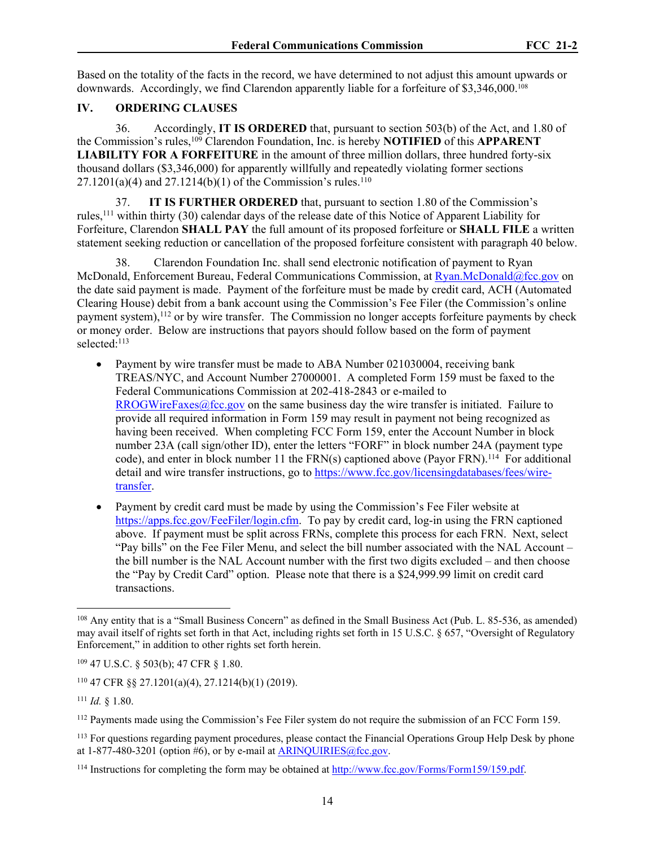Based on the totality of the facts in the record, we have determined to not adjust this amount upwards or downwards. Accordingly, we find Clarendon apparently liable for a forfeiture of \$3,346,000.<sup>108</sup>

## **IV. ORDERING CLAUSES**

<span id="page-13-0"></span>36. Accordingly, **IT IS ORDERED** that, pursuant to section 503(b) of the Act, and 1.80 of the Commission's rules,<sup>109</sup> Clarendon Foundation, Inc. is hereby **NOTIFIED** of this **APPARENT LIABILITY FOR A FORFEITURE** in the amount of three million dollars, three hundred forty-six thousand dollars (\$3,346,000) for apparently willfully and repeatedly violating former sections  $27.1201(a)(4)$  and  $27.1214(b)(1)$  of the Commission's rules.<sup>110</sup>

37. **IT IS FURTHER ORDERED** that, pursuant to section 1.80 of the Commission's rules,<sup>111</sup> within thirty (30) calendar days of the release date of this Notice of Apparent Liability for Forfeiture, Clarendon **SHALL PAY** the full amount of its proposed forfeiture or **SHALL FILE** a written statement seeking reduction or cancellation of the proposed forfeiture consistent with paragraph 40 below.

38. Clarendon Foundation Inc. shall send electronic notification of payment to Ryan McDonald, Enforcement Bureau, Federal Communications Commission, at [Ryan.McDonald@fcc.gov](mailto:Ryan.McDonald@fcc.gov) on the date said payment is made. Payment of the forfeiture must be made by credit card, ACH (Automated Clearing House) debit from a bank account using the Commission's Fee Filer (the Commission's online payment system),<sup>112</sup> or by wire transfer. The Commission no longer accepts forfeiture payments by check or money order. Below are instructions that payors should follow based on the form of payment selected:<sup>113</sup>

- Payment by wire transfer must be made to ABA Number 021030004, receiving bank TREAS/NYC, and Account Number 27000001. A completed Form 159 must be faxed to the Federal Communications Commission at 202-418-2843 or e-mailed to  $RROGWireFaxes@fcc.gov$  on the same business day the wire transfer is initiated. Failure to provide all required information in Form 159 may result in payment not being recognized as having been received. When completing FCC Form 159, enter the Account Number in block number 23A (call sign/other ID), enter the letters "FORF" in block number 24A (payment type code), and enter in block number 11 the FRN(s) captioned above (Payor FRN).<sup>114</sup> For additional detail and wire transfer instructions, go to [https://www.fcc.gov/licensingdatabases/fees/wire](https://www.fcc.gov/licensingdatabases/fees/wire-transfer)[transfer.](https://www.fcc.gov/licensingdatabases/fees/wire-transfer)
- Payment by credit card must be made by using the Commission's Fee Filer website at <https://apps.fcc.gov/FeeFiler/login.cfm>. To pay by credit card, log-in using the FRN captioned above. If payment must be split across FRNs, complete this process for each FRN. Next, select "Pay bills" on the Fee Filer Menu, and select the bill number associated with the NAL Account – the bill number is the NAL Account number with the first two digits excluded – and then choose the "Pay by Credit Card" option. Please note that there is a \$24,999.99 limit on credit card transactions.

<sup>108</sup> Any entity that is a "Small Business Concern" as defined in the Small Business Act (Pub. L. 85-536, as amended) may avail itself of rights set forth in that Act, including rights set forth in 15 U.S.C. § 657, "Oversight of Regulatory Enforcement," in addition to other rights set forth herein.

<sup>109</sup> 47 U.S.C. § 503(b); 47 CFR § 1.80.

<sup>110</sup> 47 CFR §§ 27.1201(a)(4), 27.1214(b)(1) (2019).

<sup>111</sup> *Id.* § 1.80.

<sup>112</sup> Payments made using the Commission's Fee Filer system do not require the submission of an FCC Form 159.

<sup>&</sup>lt;sup>113</sup> For questions regarding payment procedures, please contact the Financial Operations Group Help Desk by phone at  $1-877-480-3201$  (option #6), or by e-mail at [ARINQUIRIES@fcc.gov.](mailto:ARINQUIRIES@fcc.gov)

<sup>114</sup> Instructions for completing the form may be obtained at [http://www.fcc.gov/Forms/Form159/159.pdf.](http://www.fcc.gov/Forms/Form159/159.pdf)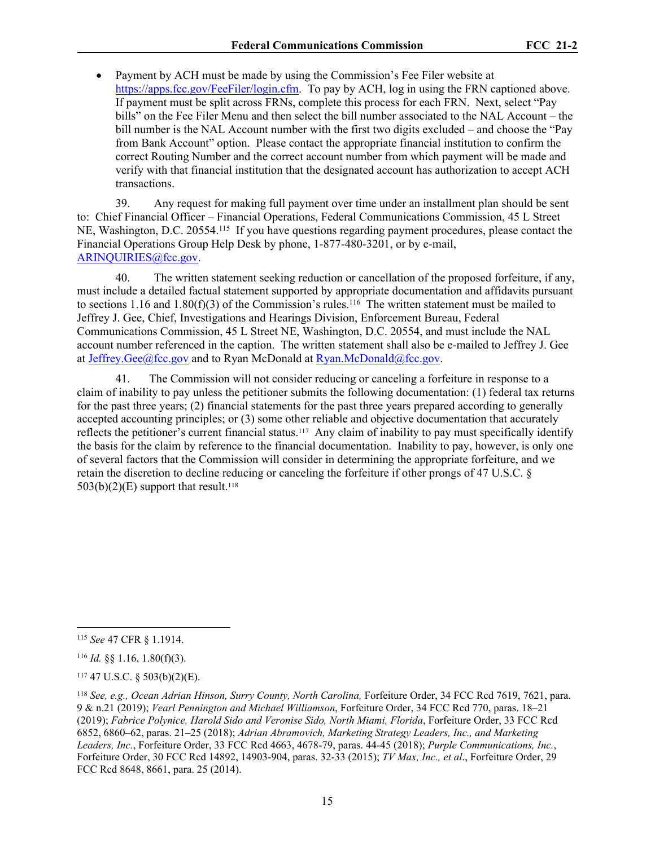Payment by ACH must be made by using the Commission's Fee Filer website at <https://apps.fcc.gov/FeeFiler/login.cfm>. To pay by ACH, log in using the FRN captioned above. If payment must be split across FRNs, complete this process for each FRN. Next, select "Pay bills" on the Fee Filer Menu and then select the bill number associated to the NAL Account – the bill number is the NAL Account number with the first two digits excluded – and choose the "Pay from Bank Account" option. Please contact the appropriate financial institution to confirm the correct Routing Number and the correct account number from which payment will be made and verify with that financial institution that the designated account has authorization to accept ACH transactions.

39. Any request for making full payment over time under an installment plan should be sent to: Chief Financial Officer – Financial Operations, Federal Communications Commission, 45 L Street NE, Washington, D.C. 20554.<sup>115</sup> If you have questions regarding payment procedures, please contact the Financial Operations Group Help Desk by phone, 1-877-480-3201, or by e-mail, [ARINQUIRIES@fcc.gov](mailto:ARINQUIRIES@fcc.gov).

40. The written statement seeking reduction or cancellation of the proposed forfeiture, if any, must include a detailed factual statement supported by appropriate documentation and affidavits pursuant to sections 1.16 and 1.80(f)(3) of the Commission's rules.<sup>116</sup> The written statement must be mailed to Jeffrey J. Gee, Chief, Investigations and Hearings Division, Enforcement Bureau, Federal Communications Commission, 45 L Street NE, Washington, D.C. 20554, and must include the NAL account number referenced in the caption. The written statement shall also be e-mailed to Jeffrey J. Gee at [Jeffrey.Gee@fcc.gov](mailto:Jeffrey.Gee@fcc.gov) and to Ryan McDonald at [Ryan.McDonald@fcc.gov](mailto:Ryan.McDonald@fcc.gov).

41. The Commission will not consider reducing or canceling a forfeiture in response to a claim of inability to pay unless the petitioner submits the following documentation: (1) federal tax returns for the past three years; (2) financial statements for the past three years prepared according to generally accepted accounting principles; or (3) some other reliable and objective documentation that accurately reflects the petitioner's current financial status.<sup>117</sup> Any claim of inability to pay must specifically identify the basis for the claim by reference to the financial documentation. Inability to pay, however, is only one of several factors that the Commission will consider in determining the appropriate forfeiture, and we retain the discretion to decline reducing or canceling the forfeiture if other prongs of 47 U.S.C. §  $503(b)(2)(E)$  support that result.<sup>118</sup>

<sup>115</sup> *See* 47 CFR § 1.1914.

<sup>116</sup> *Id.* §§ 1.16, 1.80(f)(3).

 $117$  47 U.S.C. § 503(b)(2)(E).

<sup>&</sup>lt;sup>118</sup> See, e.g., Ocean Adrian Hinson, Surry County, North Carolina, Forfeiture Order, 34 FCC Rcd 7619, 7621, para. 9 & n.21 (2019); *Vearl Pennington and Michael Williamson*, Forfeiture Order, 34 FCC Rcd 770, paras. 18–21 (2019); *Fabrice Polynice, Harold Sido and Veronise Sido, North Miami, Florida*, Forfeiture Order, 33 FCC Rcd 6852, 6860–62, paras. 21–25 (2018); *Adrian Abramovich, Marketing Strategy Leaders, Inc., and Marketing Leaders, Inc.*, Forfeiture Order, 33 FCC Rcd 4663, 4678-79, paras. 44-45 (2018); *Purple Communications, Inc.*, Forfeiture Order, 30 FCC Rcd 14892, 14903-904, paras. 32-33 (2015); *TV Max, Inc., et al*., Forfeiture Order, 29 FCC Rcd 8648, 8661, para. 25 (2014).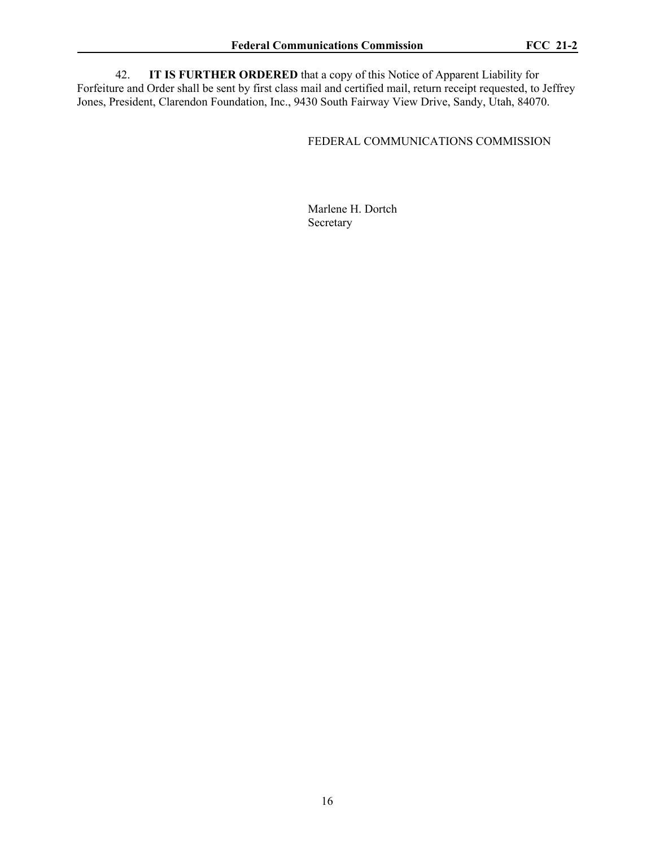42. **IT IS FURTHER ORDERED** that a copy of this Notice of Apparent Liability for Forfeiture and Order shall be sent by first class mail and certified mail, return receipt requested, to Jeffrey Jones, President, Clarendon Foundation, Inc., 9430 South Fairway View Drive, Sandy, Utah, 84070.

# FEDERAL COMMUNICATIONS COMMISSION

Marlene H. Dortch Secretary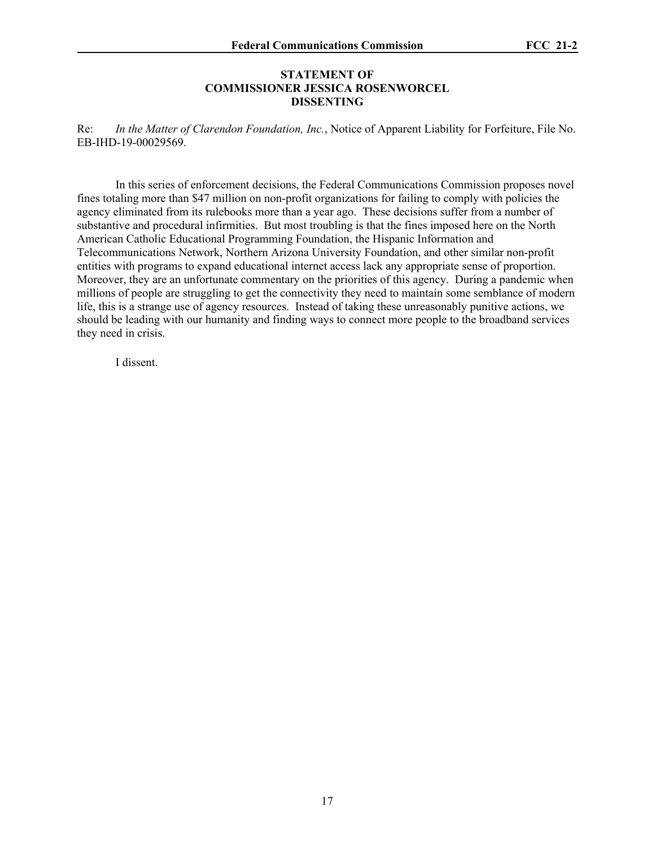## **STATEMENT OF COMMISSIONER JESSICA ROSENWORCEL DISSENTING**

Re: *In the Matter of Clarendon Foundation, Inc.*, Notice of Apparent Liability for Forfeiture, File No. EB-IHD-19-00029569.

In this series of enforcement decisions, the Federal Communications Commission proposes novel fines totaling more than \$47 million on non-profit organizations for failing to comply with policies the agency eliminated from its rulebooks more than a year ago. These decisions suffer from a number of substantive and procedural infirmities. But most troubling is that the fines imposed here on the North American Catholic Educational Programming Foundation, the Hispanic Information and Telecommunications Network, Northern Arizona University Foundation, and other similar non-profit entities with programs to expand educational internet access lack any appropriate sense of proportion. Moreover, they are an unfortunate commentary on the priorities of this agency. During a pandemic when millions of people are struggling to get the connectivity they need to maintain some semblance of modern life, this is a strange use of agency resources. Instead of taking these unreasonably punitive actions, we should be leading with our humanity and finding ways to connect more people to the broadband services they need in crisis.

I dissent.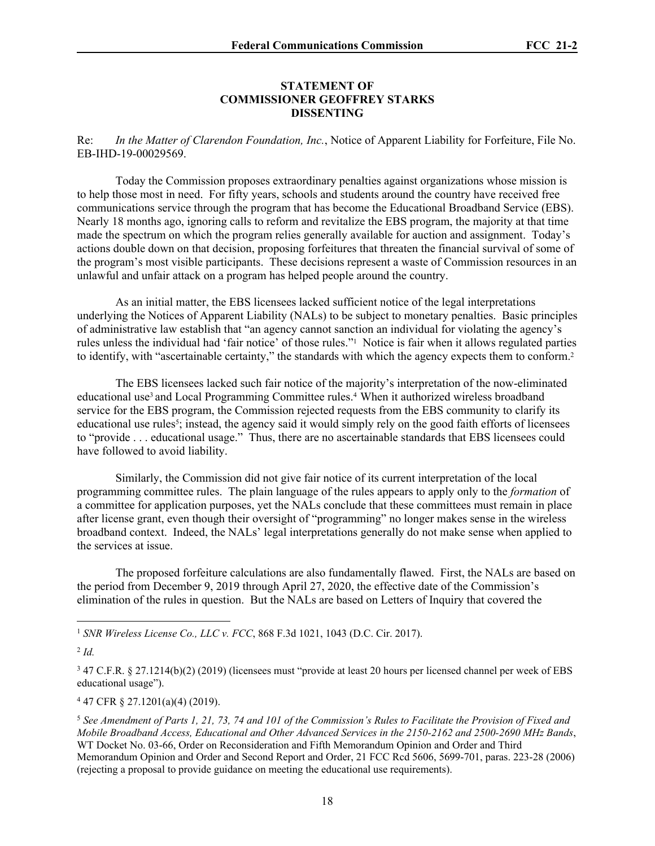### **STATEMENT OF COMMISSIONER GEOFFREY STARKS DISSENTING**

Re: *In the Matter of Clarendon Foundation, Inc.*, Notice of Apparent Liability for Forfeiture, File No. EB-IHD-19-00029569.

Today the Commission proposes extraordinary penalties against organizations whose mission is to help those most in need. For fifty years, schools and students around the country have received free communications service through the program that has become the Educational Broadband Service (EBS). Nearly 18 months ago, ignoring calls to reform and revitalize the EBS program, the majority at that time made the spectrum on which the program relies generally available for auction and assignment. Today's actions double down on that decision, proposing forfeitures that threaten the financial survival of some of the program's most visible participants. These decisions represent a waste of Commission resources in an unlawful and unfair attack on a program has helped people around the country.

As an initial matter, the EBS licensees lacked sufficient notice of the legal interpretations underlying the Notices of Apparent Liability (NALs) to be subject to monetary penalties. Basic principles of administrative law establish that "an agency cannot sanction an individual for violating the agency's rules unless the individual had 'fair notice' of those rules."<sup>1</sup> Notice is fair when it allows regulated parties to identify, with "ascertainable certainty," the standards with which the agency expects them to conform.<sup>2</sup>

The EBS licensees lacked such fair notice of the majority's interpretation of the now-eliminated educational use<sup>3</sup> and Local Programming Committee rules.<sup>4</sup> When it authorized wireless broadband service for the EBS program, the Commission rejected requests from the EBS community to clarify its educational use rules<sup>5</sup>; instead, the agency said it would simply rely on the good faith efforts of licensees to "provide . . . educational usage." Thus, there are no ascertainable standards that EBS licensees could have followed to avoid liability.

Similarly, the Commission did not give fair notice of its current interpretation of the local programming committee rules. The plain language of the rules appears to apply only to the *formation* of a committee for application purposes, yet the NALs conclude that these committees must remain in place after license grant, even though their oversight of "programming" no longer makes sense in the wireless broadband context. Indeed, the NALs' legal interpretations generally do not make sense when applied to the services at issue.

The proposed forfeiture calculations are also fundamentally flawed. First, the NALs are based on the period from December 9, 2019 through April 27, 2020, the effective date of the Commission's elimination of the rules in question. But the NALs are based on Letters of Inquiry that covered the

4 47 CFR § 27.1201(a)(4) (2019).

<sup>1</sup> *SNR Wireless License Co., LLC v. FCC*, 868 F.3d 1021, 1043 (D.C. Cir. 2017).

<sup>2</sup> *Id.*

<sup>3</sup> 47 C.F.R. § 27.1214(b)(2) (2019) (licensees must "provide at least 20 hours per licensed channel per week of EBS educational usage").

<sup>5</sup> *See Amendment of Parts 1, 21, 73, 74 and 101 of the Commission's Rules to Facilitate the Provision of Fixed and Mobile Broadband Access, Educational and Other Advanced Services in the 2150-2162 and 2500-2690 MHz Bands*, WT Docket No. 03-66, Order on Reconsideration and Fifth Memorandum Opinion and Order and Third Memorandum Opinion and Order and Second Report and Order, 21 FCC Rcd 5606, 5699-701, paras. 223-28 (2006) (rejecting a proposal to provide guidance on meeting the educational use requirements).